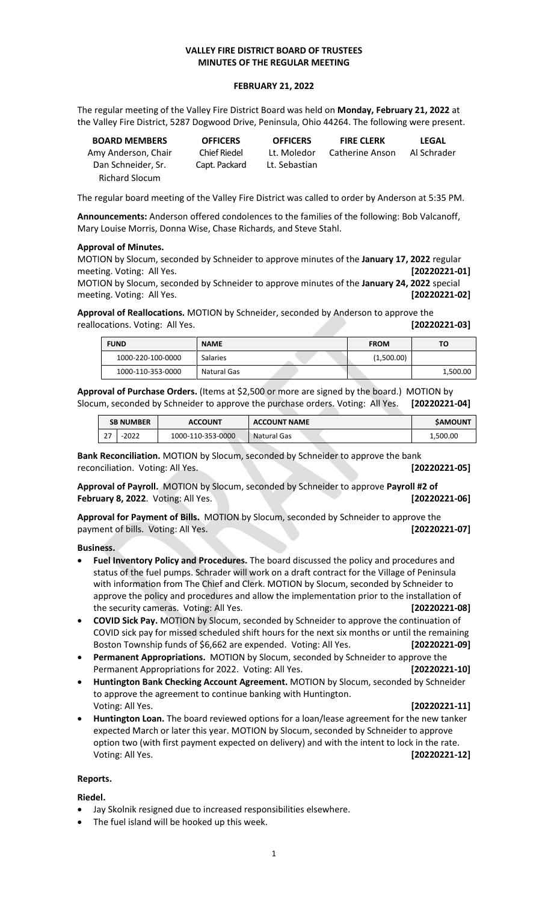## **VALLEY FIRE DISTRICT BOARD OF TRUSTEES MINUTES OF THE REGULAR MEETING**

#### **FEBRUARY 21, 2022**

The regular meeting of the Valley Fire District Board was held on **Monday, February 21, 2022** at the Valley Fire District, 5287 Dogwood Drive, Peninsula, Ohio 44264. The following were present.

| <b>BOARD MEMBERS</b>  | <b>OFFICERS</b> | <b>OFFICERS</b> | <b>FIRE CLERK</b> | LEGAL       |
|-----------------------|-----------------|-----------------|-------------------|-------------|
| Amy Anderson, Chair   | Chief Riedel    | Lt. Moledor     | Catherine Anson   | Al Schrader |
| Dan Schneider. Sr.    | Capt. Packard   | Lt. Sebastian   |                   |             |
| <b>Richard Slocum</b> |                 |                 |                   |             |

The regular board meeting of the Valley Fire District was called to order by Anderson at 5:35 PM.

**Announcements:** Anderson offered condolences to the families of the following: Bob Valcanoff, Mary Louise Morris, Donna Wise, Chase Richards, and Steve Stahl.

#### **Approval of Minutes.**

MOTION by Slocum, seconded by Schneider to approve minutes of the **January 17, 2022** regular meeting. Voting: All Yes. **[20220221-01]**

MOTION by Slocum, seconded by Schneider to approve minutes of the **January 24, 2022** special meeting. Voting: All Yes. **[20220221-02]**

**Approval of Reallocations.** MOTION by Schneider, seconded by Anderson to approve the reallocations. Voting: All Yes. **[20220221-03]**

| <b>FUND</b>       | <b>NAME</b> | <b>FROM</b> | ΤО       |
|-------------------|-------------|-------------|----------|
| 1000-220-100-0000 | Salaries    | (1,500.00)  |          |
| 1000-110-353-0000 | Natural Gas |             | 1,500.00 |

**Approval of Purchase Orders.** (Items at \$2,500 or more are signed by the board.) MOTION by Slocum, seconded by Schneider to approve the purchase orders. Voting: All Yes. **[20220221-04]**

|           | <b>ACCOUNT</b><br><b>SB NUMBER</b> |                   | <b>ACCOUNT NAME</b> | <b>SAMOUNT</b> |
|-----------|------------------------------------|-------------------|---------------------|----------------|
| דר<br>ر ے | $-2022$                            | 1000-110-353-0000 | <b>Natural Gas</b>  | 1,500.00       |

**Bank Reconciliation.** MOTION by Slocum, seconded by Schneider to approve the bank reconciliation. Voting: All Yes. **[20220221-05]**

**Approval of Payroll.** MOTION by Slocum, seconded by Schneider to approve **Payroll #2 of February 8, 2022**. Voting: All Yes. **[20220221-06]**

**Approval for Payment of Bills.** MOTION by Slocum, seconded by Schneider to approve the payment of bills. Voting: All Yes. **[20220221-07]**

**Business.**

- **Fuel Inventory Policy and Procedures.** The board discussed the policy and procedures and status of the fuel pumps. Schrader will work on a draft contract for the Village of Peninsula with information from The Chief and Clerk. MOTION by Slocum, seconded by Schneider to approve the policy and procedures and allow the implementation prior to the installation of the security cameras. Voting: All Yes. **[20220221-08]**
- **COVID Sick Pay.** MOTION by Slocum, seconded by Schneider to approve the continuation of COVID sick pay for missed scheduled shift hours for the next six months or until the remaining Boston Township funds of \$6,662 are expended. Voting: All Yes. **[20220221-09]**
- **Permanent Appropriations.** MOTION by Slocum, seconded by Schneider to approve the Permanent Appropriations for 2022. Voting: All Yes. **[20220221-10]**
- **Huntington Bank Checking Account Agreement.** MOTION by Slocum, seconded by Schneider to approve the agreement to continue banking with Huntington. Voting: All Yes. **[20220221-11]**
- **Huntington Loan.** The board reviewed options for a loan/lease agreement for the new tanker expected March or later this year. MOTION by Slocum, seconded by Schneider to approve option two (with first payment expected on delivery) and with the intent to lock in the rate. Voting: All Yes. **[20220221-12]**

### **Reports.**

**Riedel.**

- Jay Skolnik resigned due to increased responsibilities elsewhere.
- The fuel island will be hooked up this week.